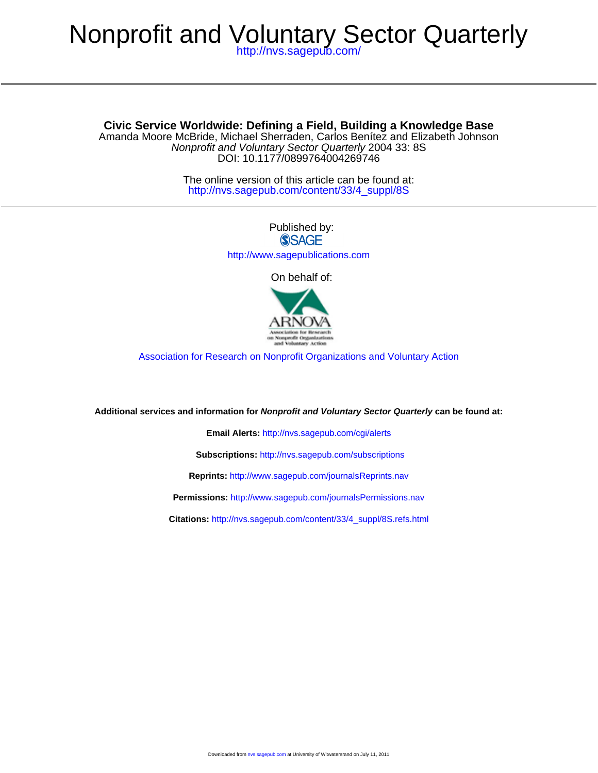# Nonprofit and Voluntary Sector Quarterly

<http://nvs.sagepub.com/>

DOI: 10.1177/0899764004269746 Nonprofit and Voluntary Sector Quarterly 2004 33: 8S Amanda Moore McBride, Michael Sherraden, Carlos Benítez and Elizabeth Johnson **Civic Service Worldwide: Defining a Field, Building a Knowledge Base**

> [http://nvs.sagepub.com/content/33/4\\_suppl/8S](http://nvs.sagepub.com/content/33/4_suppl/8S) The online version of this article can be found at:



On behalf of:



[Association for Research on Nonprofit Organizations and Voluntary Action](http://www.arnova.org)

**Additional services and information for Nonprofit and Voluntary Sector Quarterly can be found at:**

**Email Alerts:** <http://nvs.sagepub.com/cgi/alerts>

**Subscriptions:** <http://nvs.sagepub.com/subscriptions>

**Reprints:** <http://www.sagepub.com/journalsReprints.nav>

**Permissions:** <http://www.sagepub.com/journalsPermissions.nav>

**Citations:** [http://nvs.sagepub.com/content/33/4\\_suppl/8S.refs.html](http://nvs.sagepub.com/content/33/4_suppl/8S.refs.html)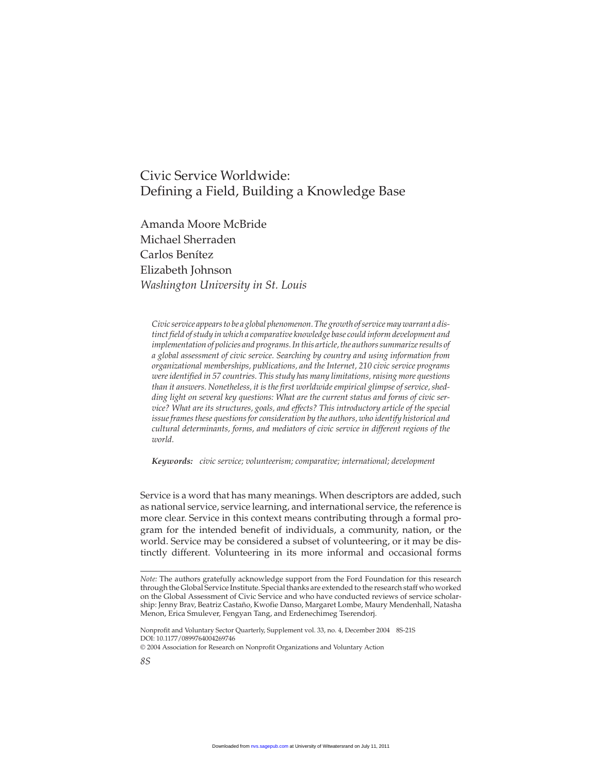# Civic Service Worldwide: Defining a Field, Building a Knowledge Base

Amanda Moore McBride Michael Sherraden Carlos Benítez Elizabeth Johnson *Washington University in St. Louis*

*Civic service appears to be a global phenomenon. The growth of service may warrant a distinct field of study in which a comparative knowledge base could inform development and implementation of policies and programs. In this article, the authors summarize results of a global assessment of civic service. Searching by country and using information from organizational memberships, publications, and the Internet, 210 civic service programs were identified in 57 countries. This study has many limitations, raising more questions than it answers. Nonetheless, it is the first worldwide empirical glimpse of service, shedding light on several key questions: What are the current status and forms of civic service? What are its structures, goals, and effects? This introductory article of the special issue frames these questions for consideration by the authors, who identify historical and cultural determinants, forms, and mediators of civic service in different regions of the world.*

*Keywords: civic service; volunteerism; comparative; international; development*

Service is a word that has many meanings. When descriptors are added, such as national service, service learning, and international service, the reference is more clear. Service in this context means contributing through a formal program for the intended benefit of individuals, a community, nation, or the world. Service may be considered a subset of volunteering, or it may be distinctly different. Volunteering in its more informal and occasional forms

*Note:* The authors gratefully acknowledge support from the Ford Foundation for this research through the Global Service Institute. Special thanks are extended to the research staff who worked on the Global Assessment of Civic Service and who have conducted reviews of service scholarship: Jenny Brav, Beatriz Castaño, Kwofie Danso, Margaret Lombe, Maury Mendenhall, Natasha Menon, Erica Smulever, Fengyan Tang, and Erdenechimeg Tserendorj.

Nonprofit and Voluntary Sector Quarterly, Supplement vol. 33, no. 4, December 2004 8S-21S DOI: 10.1177/0899764004269746

<sup>© 2004</sup> Association for Research on Nonprofit Organizations and Voluntary Action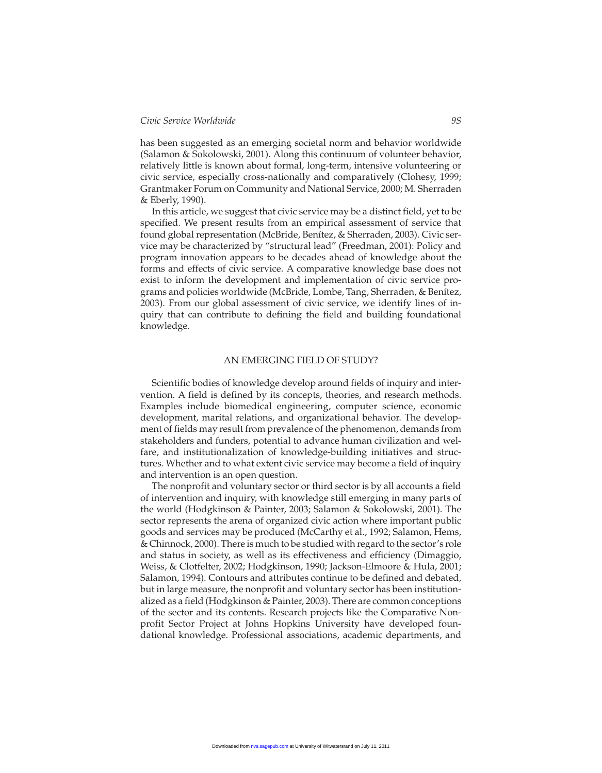# *Civic Service Worldwide 9S*

has been suggested as an emerging societal norm and behavior worldwide (Salamon & Sokolowski, 2001). Along this continuum of volunteer behavior, relatively little is known about formal, long-term, intensive volunteering or civic service, especially cross-nationally and comparatively (Clohesy, 1999; Grantmaker Forum on Community and National Service, 2000; M. Sherraden & Eberly, 1990).

In this article, we suggest that civic service may be a distinct field, yet to be specified. We present results from an empirical assessment of service that found global representation (McBride, Benítez, & Sherraden, 2003). Civic service may be characterized by "structural lead" (Freedman, 2001): Policy and program innovation appears to be decades ahead of knowledge about the forms and effects of civic service. A comparative knowledge base does not exist to inform the development and implementation of civic service programs and policies worldwide (McBride, Lombe, Tang, Sherraden, & Benítez, 2003). From our global assessment of civic service, we identify lines of inquiry that can contribute to defining the field and building foundational knowledge.

# AN EMERGING FIELD OF STUDY?

Scientific bodies of knowledge develop around fields of inquiry and intervention. A field is defined by its concepts, theories, and research methods. Examples include biomedical engineering, computer science, economic development, marital relations, and organizational behavior. The development of fields may result from prevalence of the phenomenon, demands from stakeholders and funders, potential to advance human civilization and welfare, and institutionalization of knowledge-building initiatives and structures. Whether and to what extent civic service may become a field of inquiry and intervention is an open question.

The nonprofit and voluntary sector or third sector is by all accounts a field of intervention and inquiry, with knowledge still emerging in many parts of the world (Hodgkinson & Painter, 2003; Salamon & Sokolowski, 2001). The sector represents the arena of organized civic action where important public goods and services may be produced (McCarthy et al., 1992; Salamon, Hems, & Chinnock, 2000). There is much to be studied with regard to the sector's role and status in society, as well as its effectiveness and efficiency (Dimaggio, Weiss, & Clotfelter, 2002; Hodgkinson, 1990; Jackson-Elmoore & Hula, 2001; Salamon, 1994). Contours and attributes continue to be defined and debated, but in large measure, the nonprofit and voluntary sector has been institutionalized as a field (Hodgkinson & Painter, 2003). There are common conceptions of the sector and its contents. Research projects like the Comparative Nonprofit Sector Project at Johns Hopkins University have developed foundational knowledge. Professional associations, academic departments, and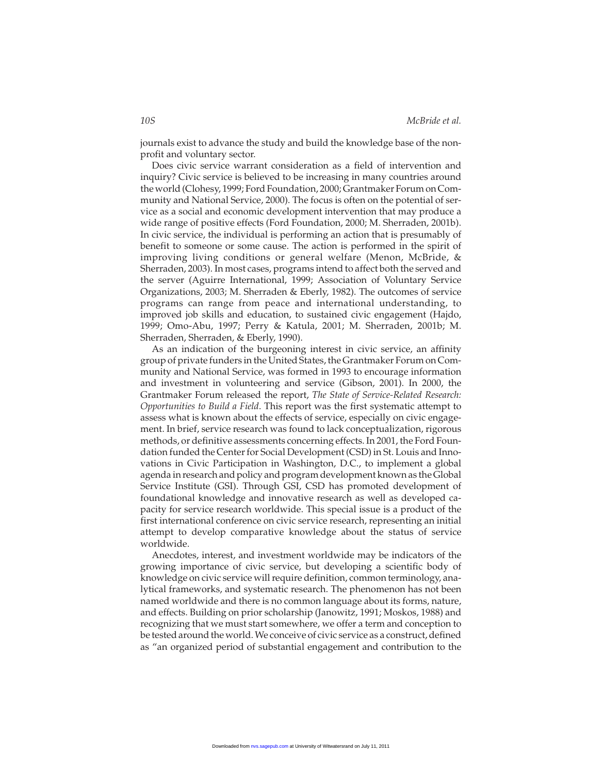journals exist to advance the study and build the knowledge base of the nonprofit and voluntary sector.

Does civic service warrant consideration as a field of intervention and inquiry? Civic service is believed to be increasing in many countries around the world (Clohesy, 1999; Ford Foundation, 2000; Grantmaker Forum on Community and National Service, 2000). The focus is often on the potential of service as a social and economic development intervention that may produce a wide range of positive effects (Ford Foundation, 2000; M. Sherraden, 2001b). In civic service, the individual is performing an action that is presumably of benefit to someone or some cause. The action is performed in the spirit of improving living conditions or general welfare (Menon, McBride, & Sherraden, 2003). In most cases, programs intend to affect both the served and the server (Aguirre International, 1999; Association of Voluntary Service Organizations, 2003; M. Sherraden & Eberly, 1982). The outcomes of service programs can range from peace and international understanding, to improved job skills and education, to sustained civic engagement (Hajdo, 1999; Omo-Abu, 1997; Perry & Katula, 2001; M. Sherraden, 2001b; M. Sherraden, Sherraden, & Eberly, 1990).

As an indication of the burgeoning interest in civic service, an affinity group of private funders in the United States, the Grantmaker Forum on Community and National Service, was formed in 1993 to encourage information and investment in volunteering and service (Gibson, 2001). In 2000, the Grantmaker Forum released the report, *The State of Service-Related Research: Opportunities to Build a Field*. This report was the first systematic attempt to assess what is known about the effects of service, especially on civic engagement. In brief, service research was found to lack conceptualization, rigorous methods, or definitive assessments concerning effects. In 2001, the Ford Foundation funded the Center for Social Development (CSD) in St. Louis and Innovations in Civic Participation in Washington, D.C., to implement a global agenda in research and policy and program development known as the Global Service Institute (GSI). Through GSI, CSD has promoted development of foundational knowledge and innovative research as well as developed capacity for service research worldwide. This special issue is a product of the first international conference on civic service research, representing an initial attempt to develop comparative knowledge about the status of service worldwide.

Anecdotes, interest, and investment worldwide may be indicators of the growing importance of civic service, but developing a scientific body of knowledge on civic service will require definition, common terminology, analytical frameworks, and systematic research. The phenomenon has not been named worldwide and there is no common language about its forms, nature, and effects. Building on prior scholarship (Janowitz, 1991; Moskos, 1988) and recognizing that we must start somewhere, we offer a term and conception to be tested around the world. We conceive of civic service as a construct, defined as "an organized period of substantial engagement and contribution to the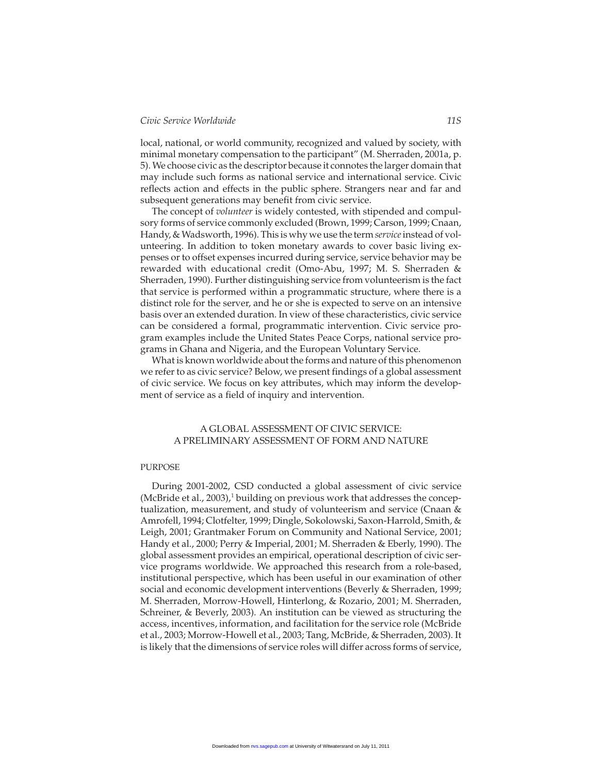local, national, or world community, recognized and valued by society, with minimal monetary compensation to the participant" (M. Sherraden, 2001a, p. 5). We choose civic as the descriptor because it connotes the larger domain that may include such forms as national service and international service. Civic reflects action and effects in the public sphere. Strangers near and far and subsequent generations may benefit from civic service.

The concept of *volunteer* is widely contested, with stipended and compulsory forms of service commonly excluded (Brown, 1999; Carson, 1999; Cnaan, Handy, & Wadsworth, 1996). This is why we use the term *service* instead of volunteering. In addition to token monetary awards to cover basic living expenses or to offset expenses incurred during service, service behavior may be rewarded with educational credit (Omo-Abu, 1997; M. S. Sherraden & Sherraden, 1990). Further distinguishing service from volunteerism is the fact that service is performed within a programmatic structure, where there is a distinct role for the server, and he or she is expected to serve on an intensive basis over an extended duration. In view of these characteristics, civic service can be considered a formal, programmatic intervention. Civic service program examples include the United States Peace Corps, national service programs in Ghana and Nigeria, and the European Voluntary Service.

What is known worldwide about the forms and nature of this phenomenon we refer to as civic service? Below, we present findings of a global assessment of civic service. We focus on key attributes, which may inform the development of service as a field of inquiry and intervention.

# A GLOBAL ASSESSMENT OF CIVIC SERVICE: A PRELIMINARY ASSESSMENT OF FORM AND NATURE

#### PURPOSE

During 2001-2002, CSD conducted a global assessment of civic service (McBride et al., 2003), $1$  building on previous work that addresses the conceptualization, measurement, and study of volunteerism and service (Cnaan & Amrofell, 1994; Clotfelter, 1999; Dingle, Sokolowski, Saxon-Harrold, Smith, & Leigh, 2001; Grantmaker Forum on Community and National Service, 2001; Handy et al., 2000; Perry & Imperial, 2001; M. Sherraden & Eberly, 1990). The global assessment provides an empirical, operational description of civic service programs worldwide. We approached this research from a role-based, institutional perspective, which has been useful in our examination of other social and economic development interventions (Beverly & Sherraden, 1999; M. Sherraden, Morrow-Howell, Hinterlong, & Rozario, 2001; M. Sherraden, Schreiner, & Beverly, 2003). An institution can be viewed as structuring the access, incentives, information, and facilitation for the service role (McBride et al., 2003; Morrow-Howell et al., 2003; Tang, McBride, & Sherraden, 2003). It is likely that the dimensions of service roles will differ across forms of service,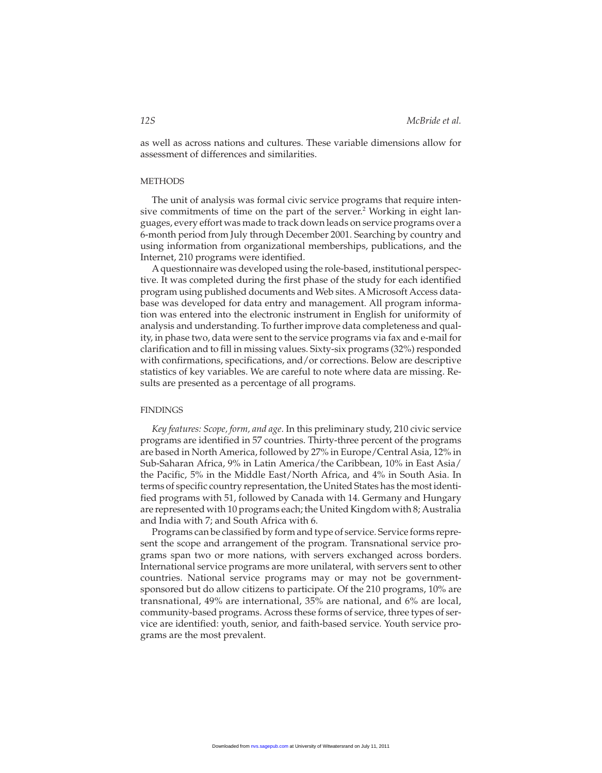as well as across nations and cultures. These variable dimensions allow for assessment of differences and similarities.

#### **METHODS**

The unit of analysis was formal civic service programs that require intensive commitments of time on the part of the server.<sup>2</sup> Working in eight languages, every effort was made to track down leads on service programs over a 6-month period from July through December 2001. Searching by country and using information from organizational memberships, publications, and the Internet, 210 programs were identified.

Aquestionnaire was developed using the role-based, institutional perspective. It was completed during the first phase of the study for each identified program using published documents and Web sites. A Microsoft Access database was developed for data entry and management. All program information was entered into the electronic instrument in English for uniformity of analysis and understanding. To further improve data completeness and quality, in phase two, data were sent to the service programs via fax and e-mail for clarification and to fill in missing values. Sixty-six programs (32%) responded with confirmations, specifications, and/or corrections. Below are descriptive statistics of key variables. We are careful to note where data are missing. Results are presented as a percentage of all programs.

#### **FINDINGS**

*Key features: Scope, form, and age*. In this preliminary study, 210 civic service programs are identified in 57 countries. Thirty-three percent of the programs are based in North America, followed by 27% in Europe/Central Asia, 12% in Sub-Saharan Africa, 9% in Latin America/the Caribbean, 10% in East Asia/ the Pacific, 5% in the Middle East/North Africa, and 4% in South Asia. In terms of specific country representation, the United States has the most identified programs with 51, followed by Canada with 14. Germany and Hungary are represented with 10 programs each; the United Kingdom with 8; Australia and India with 7; and South Africa with 6.

Programs can be classified by form and type of service. Service forms represent the scope and arrangement of the program. Transnational service programs span two or more nations, with servers exchanged across borders. International service programs are more unilateral, with servers sent to other countries. National service programs may or may not be governmentsponsored but do allow citizens to participate. Of the 210 programs, 10% are transnational, 49% are international, 35% are national, and 6% are local, community-based programs. Across these forms of service, three types of service are identified: youth, senior, and faith-based service. Youth service programs are the most prevalent.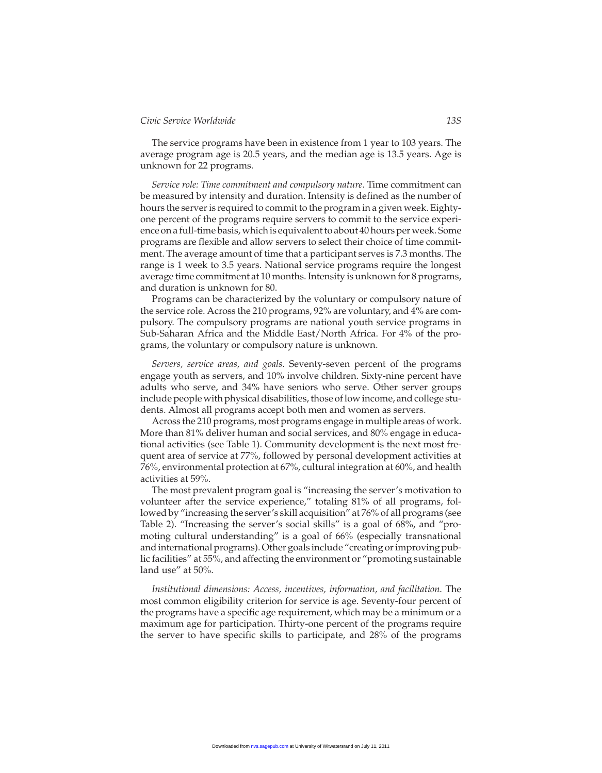The service programs have been in existence from 1 year to 103 years. The average program age is 20.5 years, and the median age is 13.5 years. Age is unknown for 22 programs.

*Service role: Time commitment and compulsory nature*. Time commitment can be measured by intensity and duration. Intensity is defined as the number of hours the server is required to commit to the program in a given week. Eightyone percent of the programs require servers to commit to the service experience on a full-time basis, which is equivalent to about 40 hours per week. Some programs are flexible and allow servers to select their choice of time commitment. The average amount of time that a participant serves is 7.3 months. The range is 1 week to 3.5 years. National service programs require the longest average time commitment at 10 months. Intensity is unknown for 8 programs, and duration is unknown for 80.

Programs can be characterized by the voluntary or compulsory nature of the service role. Across the 210 programs, 92% are voluntary, and 4% are compulsory. The compulsory programs are national youth service programs in Sub-Saharan Africa and the Middle East/North Africa. For 4% of the programs, the voluntary or compulsory nature is unknown.

*Servers, service areas, and goals*. Seventy-seven percent of the programs engage youth as servers, and 10% involve children. Sixty-nine percent have adults who serve, and 34% have seniors who serve. Other server groups include people with physical disabilities, those of low income, and college students. Almost all programs accept both men and women as servers.

Across the 210 programs, most programs engage in multiple areas of work. More than 81% deliver human and social services, and 80% engage in educational activities (see Table 1). Community development is the next most frequent area of service at 77%, followed by personal development activities at 76%, environmental protection at 67%, cultural integration at 60%, and health activities at 59%.

The most prevalent program goal is "increasing the server's motivation to volunteer after the service experience," totaling 81% of all programs, followed by "increasing the server's skill acquisition" at 76% of all programs (see Table 2). "Increasing the server's social skills" is a goal of 68%, and "promoting cultural understanding" is a goal of 66% (especially transnational and international programs). Other goals include "creating or improving public facilities" at 55%, and affecting the environment or "promoting sustainable land use" at 50%.

*Institutional dimensions: Access, incentives, information, and facilitation*. The most common eligibility criterion for service is age. Seventy-four percent of the programs have a specific age requirement, which may be a minimum or a maximum age for participation. Thirty-one percent of the programs require the server to have specific skills to participate, and 28% of the programs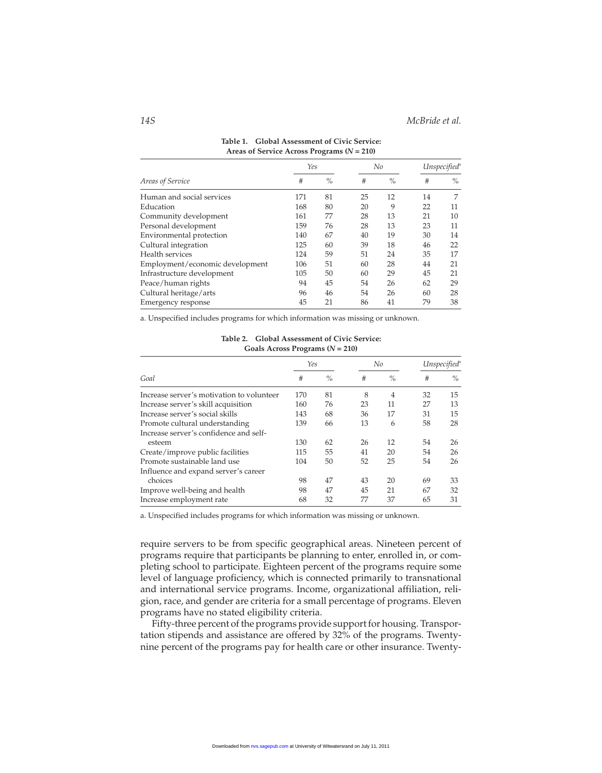|                                 | Yes |      | No |      | Unspecified <sup>a</sup> |      |
|---------------------------------|-----|------|----|------|--------------------------|------|
| Areas of Service                | #   | $\%$ | #  | $\%$ | #                        | $\%$ |
| Human and social services       | 171 | 81   | 25 | 12   | 14                       | 7    |
| Education                       | 168 | 80   | 20 | 9    | 22                       | 11   |
| Community development           | 161 | 77   | 28 | 13   | 21                       | 10   |
| Personal development            | 159 | 76   | 28 | 13   | 23                       | 11   |
| Environmental protection        | 140 | 67   | 40 | 19   | 30                       | 14   |
| Cultural integration            | 125 | 60   | 39 | 18   | 46                       | 22   |
| Health services                 | 124 | 59   | 51 | 24   | 35                       | 17   |
| Employment/economic development | 106 | 51   | 60 | 28   | 44                       | 21   |
| Infrastructure development      | 105 | 50   | 60 | 29   | 45                       | 21   |
| Peace/human rights              | 94  | 45   | 54 | 26   | 62                       | 29   |
| Cultural heritage/arts          | 96  | 46   | 54 | 26   | 60                       | 28   |
| Emergency response              | 45  | 21   | 86 | 41   | 79                       | 38   |

| Table 1. Global Assessment of Civic Service:   |
|------------------------------------------------|
| Areas of Service Across Programs ( $N = 210$ ) |

a. Unspecified includes programs for which information was missing or unknown.

**Table 2. Global Assessment of Civic Service: Goals Across Programs (***N* **= 210)**

|                                           | Yes |      | No |                | Unspecified <sup>®</sup> |      |
|-------------------------------------------|-----|------|----|----------------|--------------------------|------|
| Goal                                      | #   | $\%$ | #  | $\%$           | #                        | $\%$ |
| Increase server's motivation to volunteer | 170 | 81   | 8  | $\overline{4}$ | 32                       | 15   |
| Increase server's skill acquisition       | 160 | 76   | 23 | 11             | 27                       | 13   |
| Increase server's social skills           | 143 | 68   | 36 | 17             | 31                       | 15   |
| Promote cultural understanding            | 139 | 66   | 13 | 6              | 58                       | 28   |
| Increase server's confidence and self-    |     |      |    |                |                          |      |
| esteem                                    | 130 | 62   | 26 | 12             | 54                       | 26   |
| Create/improve public facilities          | 115 | 55   | 41 | 20             | 54                       | 26   |
| Promote sustainable land use              | 104 | 50   | 52 | 25             | 54                       | 26   |
| Influence and expand server's career      |     |      |    |                |                          |      |
| choices                                   | 98  | 47   | 43 | 20             | 69                       | 33   |
| Improve well-being and health             | 98  | 47   | 45 | 21             | 67                       | 32   |
| Increase employment rate                  | 68  | 32   | 77 | 37             | 65                       | 31   |

a. Unspecified includes programs for which information was missing or unknown.

require servers to be from specific geographical areas. Nineteen percent of programs require that participants be planning to enter, enrolled in, or completing school to participate. Eighteen percent of the programs require some level of language proficiency, which is connected primarily to transnational and international service programs. Income, organizational affiliation, religion, race, and gender are criteria for a small percentage of programs. Eleven programs have no stated eligibility criteria.

Fifty-three percent of the programs provide support for housing. Transportation stipends and assistance are offered by 32% of the programs. Twentynine percent of the programs pay for health care or other insurance. Twenty-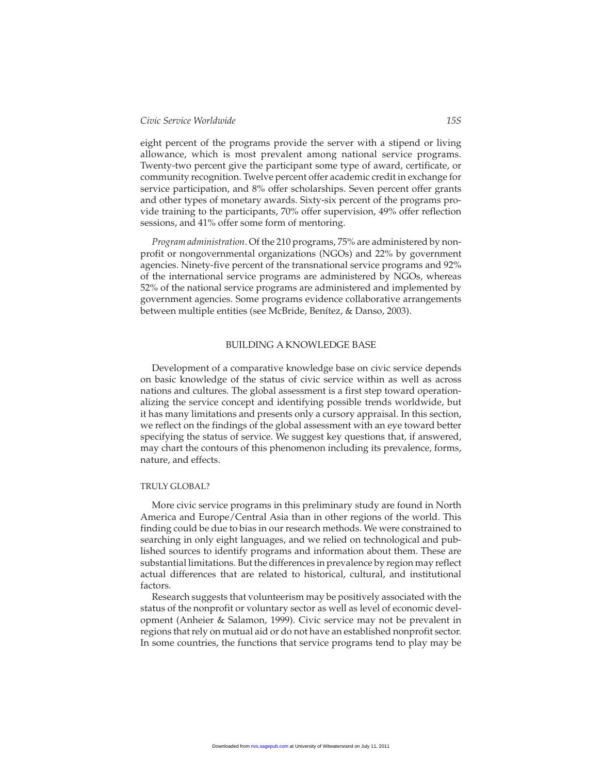eight percent of the programs provide the server with a stipend or living allowance, which is most prevalent among national service programs. Twenty-two percent give the participant some type of award, certificate, or community recognition. Twelve percent offer academic credit in exchange for service participation, and 8% offer scholarships. Seven percent offer grants and other types of monetary awards. Sixty-six percent of the programs provide training to the participants, 70% offer supervision, 49% offer reflection sessions, and 41% offer some form of mentoring.

*Program administration*. Of the 210 programs, 75% are administered by nonprofit or nongovernmental organizations (NGOs) and 22% by government agencies. Ninety-five percent of the transnational service programs and 92% of the international service programs are administered by NGOs, whereas 52% of the national service programs are administered and implemented by government agencies. Some programs evidence collaborative arrangements between multiple entities (see McBride, Benítez, & Danso, 2003).

#### BUILDING A KNOWLEDGE BASE

Development of a comparative knowledge base on civic service depends on basic knowledge of the status of civic service within as well as across nations and cultures. The global assessment is a first step toward operationalizing the service concept and identifying possible trends worldwide, but it has many limitations and presents only a cursory appraisal. In this section, we reflect on the findings of the global assessment with an eye toward better specifying the status of service. We suggest key questions that, if answered, may chart the contours of this phenomenon including its prevalence, forms, nature, and effects.

#### TRULY GLOBAL?

More civic service programs in this preliminary study are found in North America and Europe/Central Asia than in other regions of the world. This finding could be due to bias in our research methods. We were constrained to searching in only eight languages, and we relied on technological and published sources to identify programs and information about them. These are substantial limitations. But the differences in prevalence by region may reflect actual differences that are related to historical, cultural, and institutional factors.

Research suggests that volunteerism may be positively associated with the status of the nonprofit or voluntary sector as well as level of economic development (Anheier & Salamon, 1999). Civic service may not be prevalent in regions that rely on mutual aid or do not have an established nonprofit sector. In some countries, the functions that service programs tend to play may be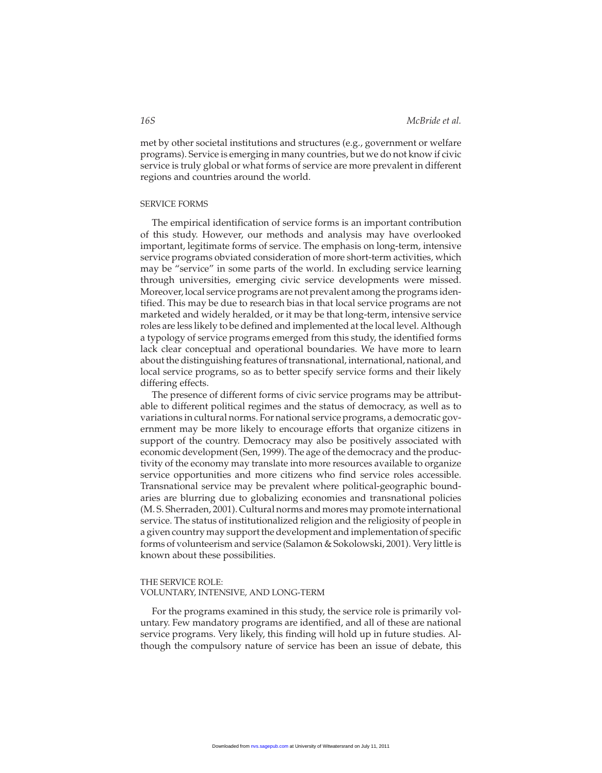met by other societal institutions and structures (e.g., government or welfare programs). Service is emerging in many countries, but we do not know if civic service is truly global or what forms of service are more prevalent in different regions and countries around the world.

# SERVICE FORMS

The empirical identification of service forms is an important contribution of this study. However, our methods and analysis may have overlooked important, legitimate forms of service. The emphasis on long-term, intensive service programs obviated consideration of more short-term activities, which may be "service" in some parts of the world. In excluding service learning through universities, emerging civic service developments were missed. Moreover, local service programs are not prevalent among the programs identified. This may be due to research bias in that local service programs are not marketed and widely heralded, or it may be that long-term, intensive service roles are less likely to be defined and implemented at the local level. Although a typology of service programs emerged from this study, the identified forms lack clear conceptual and operational boundaries. We have more to learn about the distinguishing features of transnational, international, national, and local service programs, so as to better specify service forms and their likely differing effects.

The presence of different forms of civic service programs may be attributable to different political regimes and the status of democracy, as well as to variations in cultural norms. For national service programs, a democratic government may be more likely to encourage efforts that organize citizens in support of the country. Democracy may also be positively associated with economic development (Sen, 1999). The age of the democracy and the productivity of the economy may translate into more resources available to organize service opportunities and more citizens who find service roles accessible. Transnational service may be prevalent where political-geographic boundaries are blurring due to globalizing economies and transnational policies (M. S. Sherraden, 2001). Cultural norms and mores may promote international service. The status of institutionalized religion and the religiosity of people in a given country may support the development and implementation of specific forms of volunteerism and service (Salamon & Sokolowski, 2001). Very little is known about these possibilities.

# THE SERVICE ROLE:

# VOLUNTARY, INTENSIVE, AND LONG-TERM

For the programs examined in this study, the service role is primarily voluntary. Few mandatory programs are identified, and all of these are national service programs. Very likely, this finding will hold up in future studies. Although the compulsory nature of service has been an issue of debate, this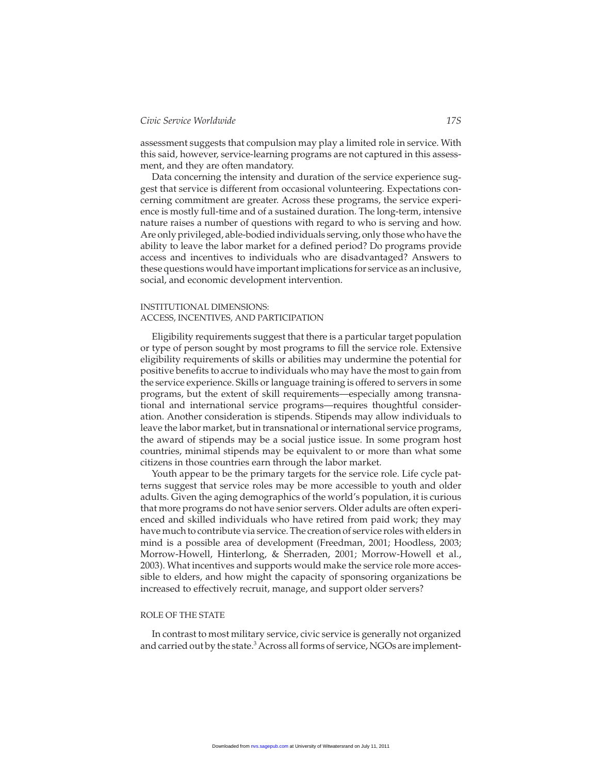## *Civic Service Worldwide 17S*

assessment suggests that compulsion may play a limited role in service. With this said, however, service-learning programs are not captured in this assessment, and they are often mandatory.

Data concerning the intensity and duration of the service experience suggest that service is different from occasional volunteering. Expectations concerning commitment are greater. Across these programs, the service experience is mostly full-time and of a sustained duration. The long-term, intensive nature raises a number of questions with regard to who is serving and how. Are only privileged, able-bodied individuals serving, only those who have the ability to leave the labor market for a defined period? Do programs provide access and incentives to individuals who are disadvantaged? Answers to these questions would have important implications for service as an inclusive, social, and economic development intervention.

#### INSTITUTIONAL DIMENSIONS: ACCESS, INCENTIVES, AND PARTICIPATION

Eligibility requirements suggest that there is a particular target population or type of person sought by most programs to fill the service role. Extensive eligibility requirements of skills or abilities may undermine the potential for positive benefits to accrue to individuals who may have the most to gain from the service experience. Skills or language training is offered to servers in some programs, but the extent of skill requirements—especially among transnational and international service programs—requires thoughtful consideration. Another consideration is stipends. Stipends may allow individuals to leave the labor market, but in transnational or international service programs, the award of stipends may be a social justice issue. In some program host countries, minimal stipends may be equivalent to or more than what some citizens in those countries earn through the labor market.

Youth appear to be the primary targets for the service role. Life cycle patterns suggest that service roles may be more accessible to youth and older adults. Given the aging demographics of the world's population, it is curious that more programs do not have senior servers. Older adults are often experienced and skilled individuals who have retired from paid work; they may have much to contribute via service. The creation of service roles with elders in mind is a possible area of development (Freedman, 2001; Hoodless, 2003; Morrow-Howell, Hinterlong, & Sherraden, 2001; Morrow-Howell et al., 2003). What incentives and supports would make the service role more accessible to elders, and how might the capacity of sponsoring organizations be increased to effectively recruit, manage, and support older servers?

#### ROLE OF THE STATE

In contrast to most military service, civic service is generally not organized and carried out by the state.<sup>3</sup> Across all forms of service, NGOs are implement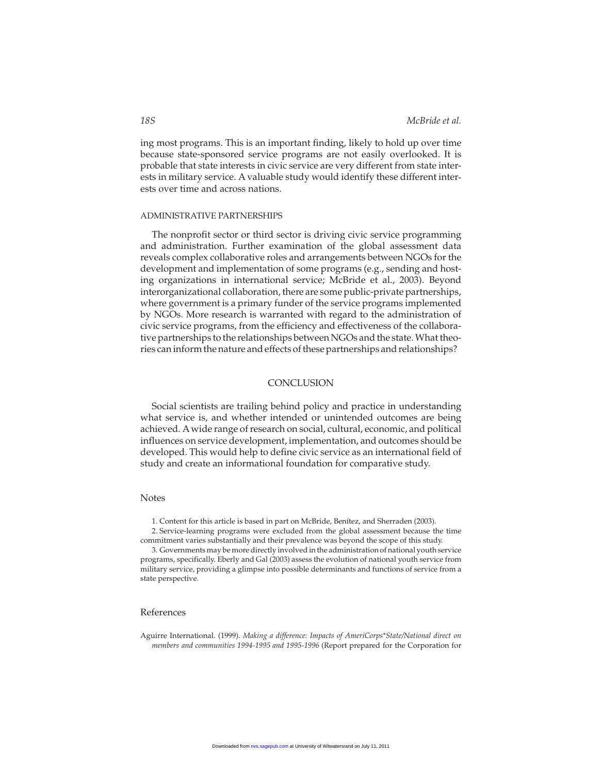ing most programs. This is an important finding, likely to hold up over time because state-sponsored service programs are not easily overlooked. It is probable that state interests in civic service are very different from state interests in military service. A valuable study would identify these different interests over time and across nations.

#### ADMINISTRATIVE PARTNERSHIPS

The nonprofit sector or third sector is driving civic service programming and administration. Further examination of the global assessment data reveals complex collaborative roles and arrangements between NGOs for the development and implementation of some programs (e.g., sending and hosting organizations in international service; McBride et al., 2003). Beyond interorganizational collaboration, there are some public-private partnerships, where government is a primary funder of the service programs implemented by NGOs. More research is warranted with regard to the administration of civic service programs, from the efficiency and effectiveness of the collaborative partnerships to the relationships between NGOs and the state. What theories can inform the nature and effects of these partnerships and relationships?

# **CONCLUSION**

Social scientists are trailing behind policy and practice in understanding what service is, and whether intended or unintended outcomes are being achieved. A wide range of research on social, cultural, economic, and political influences on service development, implementation, and outcomes should be developed. This would help to define civic service as an international field of study and create an informational foundation for comparative study.

## **Notes**

1. Content for this article is based in part on McBride, Benítez, and Sherraden (2003).

2. Service-learning programs were excluded from the global assessment because the time commitment varies substantially and their prevalence was beyond the scope of this study.

3. Governments may be more directly involved in the administration of national youth service programs, specifically. Eberly and Gal (2003) assess the evolution of national youth service from military service, providing a glimpse into possible determinants and functions of service from a state perspective.

#### References

Aguirre International. (1999). *Making a difference: Impacts of AmeriCorps\*State/National direct on members and communities 1994-1995 and 1995-1996* (Report prepared for the Corporation for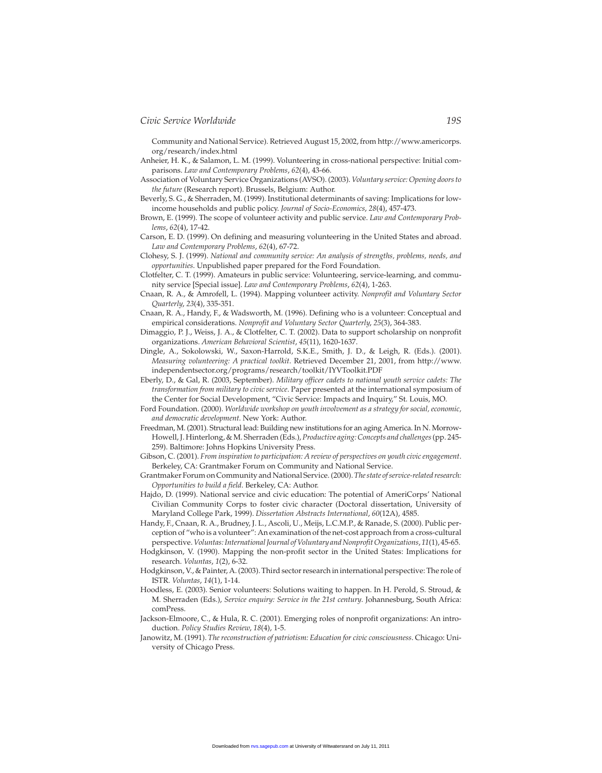Community and National Service). Retrieved August 15, 2002, from http://www.americorps. org/research/index.html

Anheier, H. K., & Salamon, L. M. (1999). Volunteering in cross-national perspective: Initial comparisons. *Law and Contemporary Problems*, *62*(4), 43-66.

- Association of Voluntary Service Organizations (AVSO). (2003). *Voluntary service: Opening doors to the future* (Research report). Brussels, Belgium: Author.
- Beverly, S. G., & Sherraden, M. (1999). Institutional determinants of saving: Implications for lowincome households and public policy. *Journal of Socio-Economics*, *28*(4), 457-473.
- Brown, E. (1999). The scope of volunteer activity and public service. *Law and Contemporary Problems*, *62*(4), 17-42.
- Carson, E. D. (1999). On defining and measuring volunteering in the United States and abroad. *Law and Contemporary Problems*, *62*(4), 67-72.
- Clohesy, S. J. (1999). *National and community service: An analysis of strengths, problems, needs, and opportunities*. Unpublished paper prepared for the Ford Foundation.
- Clotfelter, C. T. (1999). Amateurs in public service: Volunteering, service-learning, and community service [Special issue]. *Law and Contemporary Problems*, *62*(4), 1-263.
- Cnaan, R. A., & Amrofell, L. (1994). Mapping volunteer activity. *Nonprofit and Voluntary Sector Quarterly*, *23*(4), 335-351.
- Cnaan, R. A., Handy, F., & Wadsworth, M. (1996). Defining who is a volunteer: Conceptual and empirical considerations. *Nonprofit and Voluntary Sector Quarterly*, *25*(3), 364-383.
- Dimaggio, P. J., Weiss, J. A., & Clotfelter, C. T. (2002). Data to support scholarship on nonprofit organizations. *American Behavioral Scientist*, *45*(11), 1620-1637.
- Dingle, A., Sokolowski, W., Saxon-Harrold, S.K.E., Smith, J. D., & Leigh, R. (Eds.). (2001). *Measuring volunteering: A practical toolkit*. Retrieved December 21, 2001, from http://www. independentsector.org/programs/research/toolkit/IYVToolkit.PDF
- Eberly, D., & Gal, R. (2003, September). *Military officer cadets to national youth service cadets: The transformation from military to civic service*. Paper presented at the international symposium of the Center for Social Development, "Civic Service: Impacts and Inquiry," St. Louis, MO.
- Ford Foundation. (2000). *Worldwide workshop on youth involvement as a strategy for social, economic, and democratic development*. New York: Author.
- Freedman, M. (2001). Structural lead: Building new institutions for an aging America. In N. Morrow-Howell, J. Hinterlong, & M. Sherraden (Eds.),*Productive aging: Concepts and challenges*(pp. 245- 259). Baltimore: Johns Hopkins University Press.
- Gibson, C. (2001). *From inspiration to participation: A review of perspectives on youth civic engagement*. Berkeley, CA: Grantmaker Forum on Community and National Service.
- Grantmaker Forum on Community and National Service. (2000).*The state of service-related research: Opportunities to build a field*. Berkeley, CA: Author.
- Hajdo, D. (1999). National service and civic education: The potential of AmeriCorps' National Civilian Community Corps to foster civic character (Doctoral dissertation, University of Maryland College Park, 1999). *Dissertation Abstracts International*, *60*(12A), 4585.
- Handy, F., Cnaan, R. A., Brudney, J. L., Ascoli, U., Meijs, L.C.M.P., & Ranade, S. (2000). Public perception of "who is a volunteer": An examination of the net-cost approach from a cross-cultural perspective. *Voluntas: International Journal of Voluntary and Nonprofit Organizations*, *11*(1), 45-65.
- Hodgkinson, V. (1990). Mapping the non-profit sector in the United States: Implications for research. *Voluntas*, *1*(2), 6-32.
- Hodgkinson, V., & Painter, A. (2003). Third sector research in international perspective: The role of ISTR. *Voluntas*, *14*(1), 1-14.
- Hoodless, E. (2003). Senior volunteers: Solutions waiting to happen. In H. Perold, S. Stroud, & M. Sherraden (Eds.), *Service enquiry: Service in the 21st century*. Johannesburg, South Africa: comPress.
- Jackson-Elmoore, C., & Hula, R. C. (2001). Emerging roles of nonprofit organizations: An introduction. *Policy Studies Review*, *18*(4), 1-5.
- Janowitz, M. (1991). *The reconstruction of patriotism: Education for civic consciousness*. Chicago: University of Chicago Press.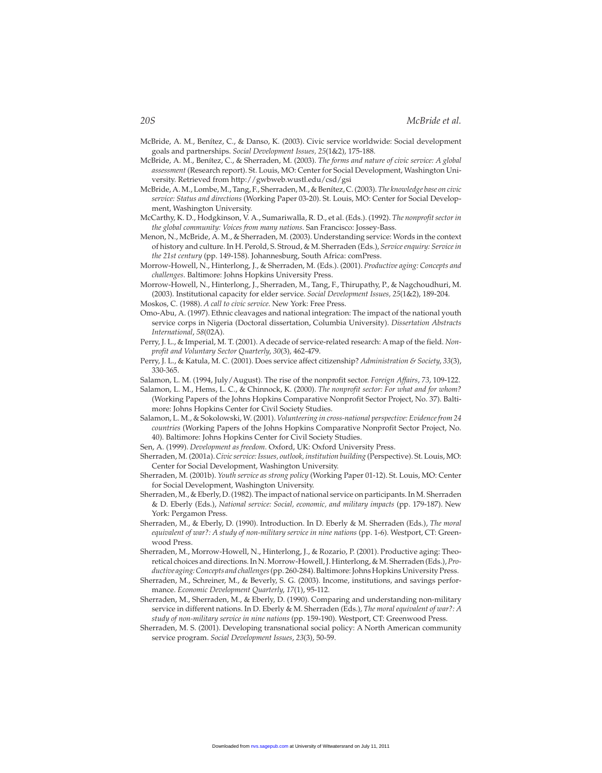- McBride, A. M., Benítez, C., & Danso, K. (2003). Civic service worldwide: Social development goals and partnerships. *Social Development Issues, 25*(1&2), 175-188.
- McBride, A. M., Benítez, C., & Sherraden, M. (2003). *The forms and nature of civic service: A global assessment* (Research report). St. Louis, MO: Center for Social Development, Washington University. Retrieved from http://gwbweb.wustl.edu/csd/gsi
- McBride, A. M., Lombe, M., Tang, F., Sherraden, M., & Benítez, C. (2003).*The knowledge base on civic service: Status and directions* (Working Paper 03-20). St. Louis, MO: Center for Social Development, Washington University.
- McCarthy, K. D., Hodgkinson, V. A., Sumariwalla, R. D., et al. (Eds.). (1992). *The nonprofit sector in the global community: Voices from many nations*. San Francisco: Jossey-Bass.
- Menon, N., McBride, A. M., & Sherraden, M. (2003). Understanding service: Words in the context of history and culture. In H. Perold, S. Stroud, & M. Sherraden (Eds.), *Service enquiry: Service in the 21st century* (pp. 149-158). Johannesburg, South Africa: comPress.
- Morrow-Howell, N., Hinterlong, J., & Sherraden, M. (Eds.). (2001). *Productive aging: Concepts and challenges*. Baltimore: Johns Hopkins University Press.
- Morrow-Howell, N., Hinterlong, J., Sherraden, M., Tang, F., Thirupathy, P., & Nagchoudhuri, M. (2003). Institutional capacity for elder service. *Social Development Issues, 25*(1&2), 189-204.
- Moskos, C. (1988). *A call to civic service*. New York: Free Press.
- Omo-Abu, A. (1997). Ethnic cleavages and national integration: The impact of the national youth service corps in Nigeria (Doctoral dissertation, Columbia University). *Dissertation Abstracts International*, *58*(02A).
- Perry, J. L., & Imperial, M. T. (2001). A decade of service-related research: A map of the field. *Nonprofit and Voluntary Sector Quarterly*, *30*(3), 462-479.
- Perry, J. L., & Katula, M. C. (2001). Does service affect citizenship? *Administration & Society*, *33*(3), 330-365.
- Salamon, L. M. (1994, July/August). The rise of the nonprofit sector. *Foreign Affairs*, *73*, 109-122.
- Salamon, L. M., Hems, L. C., & Chinnock, K. (2000). *The nonprofit sector: For what and for whom?* (Working Papers of the Johns Hopkins Comparative Nonprofit Sector Project, No. 37). Baltimore: Johns Hopkins Center for Civil Society Studies.
- Salamon, L. M., & Sokolowski, W. (2001). *Volunteering in cross-national perspective: Evidence from 24 countries* (Working Papers of the Johns Hopkins Comparative Nonprofit Sector Project, No. 40). Baltimore: Johns Hopkins Center for Civil Society Studies.
- Sen, A. (1999). *Development as freedom*. Oxford, UK: Oxford University Press.
- Sherraden, M. (2001a).*Civic service: Issues, outlook, institution building* (Perspective). St. Louis, MO: Center for Social Development, Washington University.
- Sherraden, M. (2001b). *Youth service as strong policy* (Working Paper 01-12). St. Louis, MO: Center for Social Development, Washington University.
- Sherraden, M., & Eberly, D. (1982). The impact of national service on participants. In M. Sherraden & D. Eberly (Eds.), *National service: Social, economic, and military impacts* (pp. 179-187). New York: Pergamon Press.
- Sherraden, M., & Eberly, D. (1990). Introduction. In D. Eberly & M. Sherraden (Eds.), *The moral equivalent of war?: A study of non-military service in nine nations* (pp. 1-6). Westport, CT: Greenwood Press.
- Sherraden, M., Morrow-Howell, N., Hinterlong, J., & Rozario, P. (2001). Productive aging: Theoretical choices and directions. In N. Morrow-Howell, J. Hinterlong, & M. Sherraden (Eds.),*Productive aging: Concepts and challenges*(pp. 260-284).Baltimore: Johns Hopkins University Press.
- Sherraden, M., Schreiner, M., & Beverly, S. G. (2003). Income, institutions, and savings performance. *Economic Development Quarterly*, *17*(1), 95-112.
- Sherraden, M., Sherraden, M., & Eberly, D. (1990). Comparing and understanding non-military service in different nations. In D. Eberly & M. Sherraden (Eds.), *The moral equivalent of war?: A study of non-military service in nine nations* (pp. 159-190). Westport, CT: Greenwood Press.
- Sherraden, M. S. (2001). Developing transnational social policy: A North American community service program. *Social Development Issues*, *23*(3), 50-59.